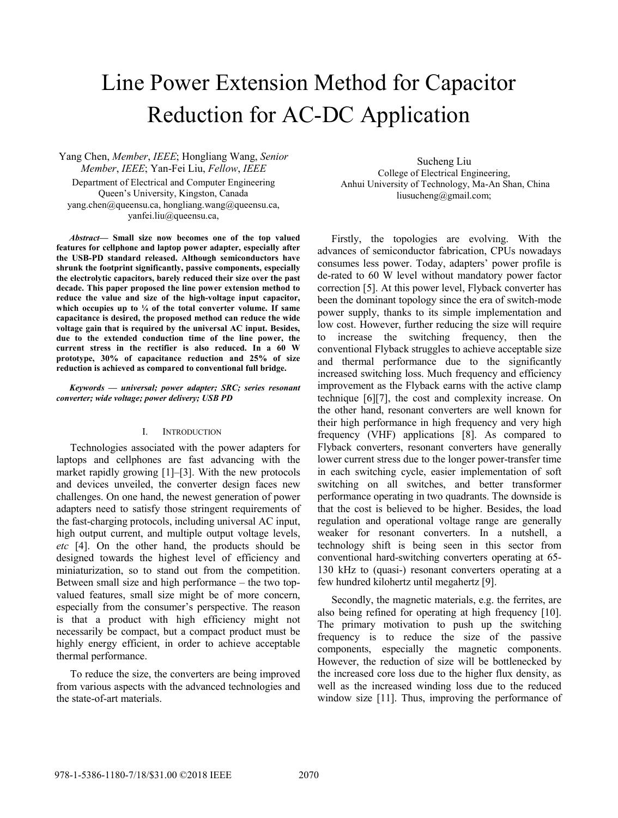# Line Power Extension Method for Capacitor Reduction for AC-DC Application

Yang Chen, *Member*, *IEEE*; Hongliang Wang, *Senior Member*, *IEEE*; Yan-Fei Liu, *Fellow*, *IEEE* Department of Electrical and Computer Engineering Queen's University, Kingston, Canada yang.chen@queensu.ca, hongliang.wang@queensu.ca, yanfei.liu@queensu.ca,

*Abstract***— Small size now becomes one of the top valued features for cellphone and laptop power adapter, especially after the USB-PD standard released. Although semiconductors have shrunk the footprint significantly, passive components, especially the electrolytic capacitors, barely reduced their size over the past decade. This paper proposed the line power extension method to reduce the value and size of the high-voltage input capacitor, which occupies up to ¼ of the total converter volume. If same capacitance is desired, the proposed method can reduce the wide voltage gain that is required by the universal AC input. Besides, due to the extended conduction time of the line power, the current stress in the rectifier is also reduced. In a 60 W prototype, 30% of capacitance reduction and 25% of size reduction is achieved as compared to conventional full bridge.** 

#### *Keywords — universal; power adapter; SRC; series resonant converter; wide voltage; power delivery; USB PD*

# I. INTRODUCTION

Technologies associated with the power adapters for laptops and cellphones are fast advancing with the market rapidly growing [1]–[3]. With the new protocols and devices unveiled, the converter design faces new challenges. On one hand, the newest generation of power adapters need to satisfy those stringent requirements of the fast-charging protocols, including universal AC input, high output current, and multiple output voltage levels, *etc* [4]. On the other hand, the products should be designed towards the highest level of efficiency and miniaturization, so to stand out from the competition. Between small size and high performance – the two topvalued features, small size might be of more concern, especially from the consumer's perspective. The reason is that a product with high efficiency might not necessarily be compact, but a compact product must be highly energy efficient, in order to achieve acceptable thermal performance.

To reduce the size, the converters are being improved from various aspects with the advanced technologies and the state-of-art materials.

Sucheng Liu College of Electrical Engineering, Anhui University of Technology, Ma-An Shan, China liusucheng@gmail.com;

Firstly, the topologies are evolving. With the advances of semiconductor fabrication, CPUs nowadays consumes less power. Today, adapters' power profile is de-rated to 60 W level without mandatory power factor correction [5]. At this power level, Flyback converter has been the dominant topology since the era of switch-mode power supply, thanks to its simple implementation and low cost. However, further reducing the size will require to increase the switching frequency, then the conventional Flyback struggles to achieve acceptable size and thermal performance due to the significantly increased switching loss. Much frequency and efficiency improvement as the Flyback earns with the active clamp technique [6][7], the cost and complexity increase. On the other hand, resonant converters are well known for their high performance in high frequency and very high frequency (VHF) applications [8]. As compared to Flyback converters, resonant converters have generally lower current stress due to the longer power-transfer time in each switching cycle, easier implementation of soft switching on all switches, and better transformer performance operating in two quadrants. The downside is that the cost is believed to be higher. Besides, the load regulation and operational voltage range are generally weaker for resonant converters. In a nutshell, a technology shift is being seen in this sector from conventional hard-switching converters operating at 65- 130 kHz to (quasi-) resonant converters operating at a few hundred kilohertz until megahertz [9].

Secondly, the magnetic materials, e.g. the ferrites, are also being refined for operating at high frequency [10]. The primary motivation to push up the switching frequency is to reduce the size of the passive components, especially the magnetic components. However, the reduction of size will be bottlenecked by the increased core loss due to the higher flux density, as well as the increased winding loss due to the reduced window size [11]. Thus, improving the performance of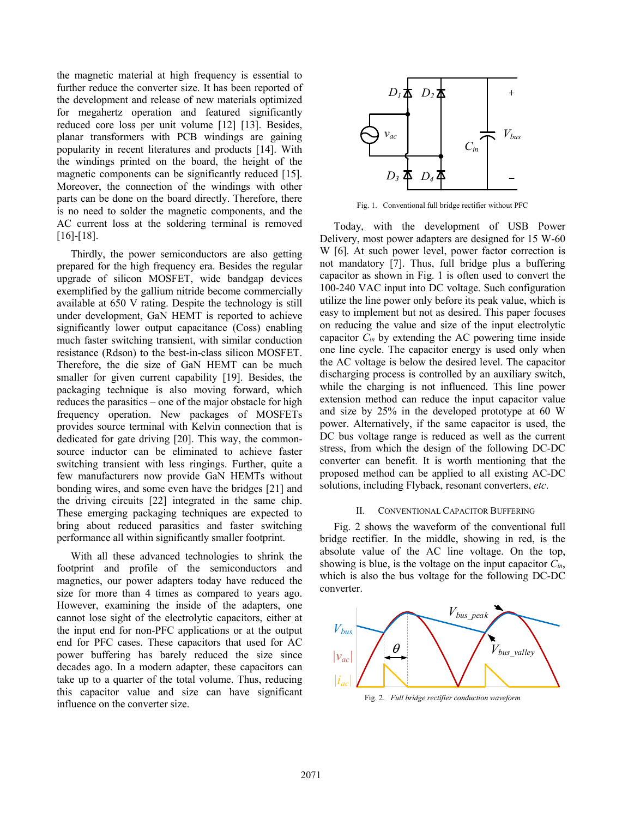the magnetic material at high frequency is essential to further reduce the converter size. It has been reported of the development and release of new materials optimized for megahertz operation and featured significantly reduced core loss per unit volume [12] [13]. Besides, planar transformers with PCB windings are gaining popularity in recent literatures and products [14]. With the windings printed on the board, the height of the magnetic components can be significantly reduced [15]. Moreover, the connection of the windings with other parts can be done on the board directly. Therefore, there is no need to solder the magnetic components, and the AC current loss at the soldering terminal is removed [16]-[18].

Thirdly, the power semiconductors are also getting prepared for the high frequency era. Besides the regular upgrade of silicon MOSFET, wide bandgap devices exemplified by the gallium nitride become commercially available at 650 V rating. Despite the technology is still under development, GaN HEMT is reported to achieve significantly lower output capacitance (Coss) enabling much faster switching transient, with similar conduction resistance (Rdson) to the best-in-class silicon MOSFET. Therefore, the die size of GaN HEMT can be much smaller for given current capability [19]. Besides, the packaging technique is also moving forward, which reduces the parasitics – one of the major obstacle for high frequency operation. New packages of MOSFETs provides source terminal with Kelvin connection that is dedicated for gate driving [20]. This way, the commonsource inductor can be eliminated to achieve faster switching transient with less ringings. Further, quite a few manufacturers now provide GaN HEMTs without bonding wires, and some even have the bridges [21] and the driving circuits [22] integrated in the same chip. These emerging packaging techniques are expected to bring about reduced parasitics and faster switching performance all within significantly smaller footprint.

With all these advanced technologies to shrink the footprint and profile of the semiconductors and magnetics, our power adapters today have reduced the size for more than 4 times as compared to years ago. However, examining the inside of the adapters, one cannot lose sight of the electrolytic capacitors, either at the input end for non-PFC applications or at the output end for PFC cases. These capacitors that used for AC power buffering has barely reduced the size since decades ago. In a modern adapter, these capacitors can take up to a quarter of the total volume. Thus, reducing this capacitor value and size can have significant influence on the converter size.



Fig. 1. Conventional full bridge rectifier without PFC

Today, with the development of USB Power Delivery, most power adapters are designed for 15 W-60 W [6]. At such power level, power factor correction is not mandatory [7]. Thus, full bridge plus a buffering capacitor as shown in Fig. 1 is often used to convert the 100-240 VAC input into DC voltage. Such configuration utilize the line power only before its peak value, which is easy to implement but not as desired. This paper focuses on reducing the value and size of the input electrolytic capacitor *Cin* by extending the AC powering time inside one line cycle. The capacitor energy is used only when the AC voltage is below the desired level. The capacitor discharging process is controlled by an auxiliary switch, while the charging is not influenced. This line power extension method can reduce the input capacitor value and size by 25% in the developed prototype at 60 W power. Alternatively, if the same capacitor is used, the DC bus voltage range is reduced as well as the current stress, from which the design of the following DC-DC converter can benefit. It is worth mentioning that the proposed method can be applied to all existing AC-DC solutions, including Flyback, resonant converters, *etc*.

#### II. CONVENTIONAL CAPACITOR BUFFERING

Fig. 2 shows the waveform of the conventional full bridge rectifier. In the middle, showing in red, is the absolute value of the AC line voltage. On the top, showing is blue, is the voltage on the input capacitor *Cin*, which is also the bus voltage for the following DC-DC converter.



Fig. 2. *Full bridge rectifier conduction waveform*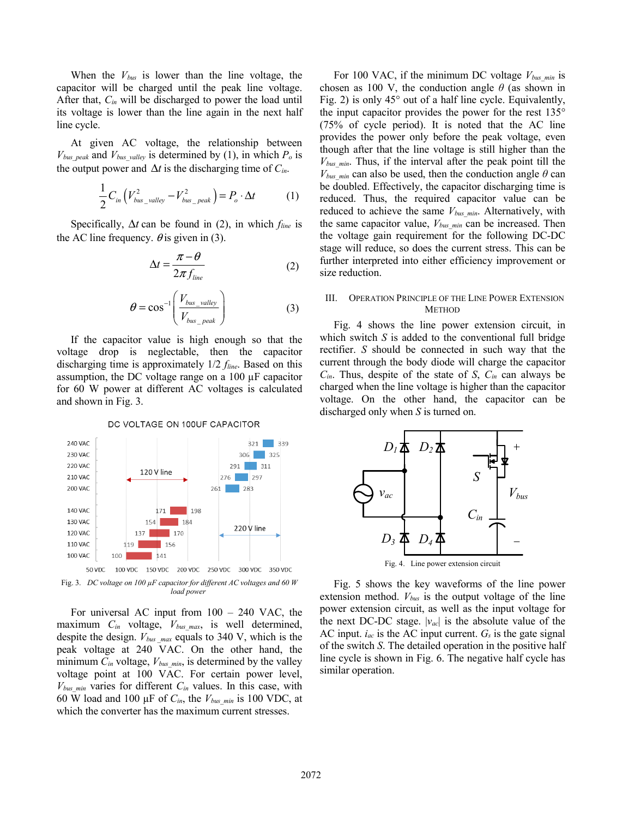When the *Vbus* is lower than the line voltage, the capacitor will be charged until the peak line voltage. After that, *Cin* will be discharged to power the load until its voltage is lower than the line again in the next half line cycle.

At given AC voltage, the relationship between  $V_{bus\ peak}$  and  $V_{bus\ value}$  is determined by (1), in which  $P_o$  is the output power and  $\Delta t$  is the discharging time of  $C_{in}$ .

$$
\frac{1}{2}C_{in}\left(V_{bus\_valley}^2 - V_{bus\_peak}^2\right) = P_o \cdot \Delta t \tag{1}
$$

Specifically, Δ*t* can be found in (2), in which *fline* is the AC line frequency.  $\theta$  is given in (3).

$$
\Delta t = \frac{\pi - \theta}{2\pi f_{line}} \tag{2}
$$

$$
\theta = \cos^{-1}\left(\frac{V_{bus\_valley}}{V_{bus\_peak}}\right) \tag{3}
$$

If the capacitor value is high enough so that the voltage drop is neglectable, then the capacitor discharging time is approximately 1/2 *fline*. Based on this assumption, the DC voltage range on a 100 µF capacitor for 60 W power at different AC voltages is calculated and shown in Fig. 3.



DC VOLTAGE ON 100UF CAPACITOR

*load power* 

For universal AC input from 100 – 240 VAC, the maximum *Cin* voltage, *Vbus\_max*, is well determined, despite the design.  $V_{bus\ max}$  equals to 340 V, which is the peak voltage at 240 VAC. On the other hand, the minimum  $C_{in}$  voltage,  $V_{bus,min}$ , is determined by the valley voltage point at 100 VAC. For certain power level,  $V_{bus,min}$  varies for different  $C_{in}$  values. In this case, with 60 W load and 100  $\mu$ F of  $C_{in}$ , the  $V_{bus,min}$  is 100 VDC, at which the converter has the maximum current stresses.

For 100 VAC, if the minimum DC voltage  $V_{bus,min}$  is chosen as 100 V, the conduction angle  $\theta$  (as shown in Fig. 2) is only 45° out of a half line cycle. Equivalently, the input capacitor provides the power for the rest 135° (75% of cycle period). It is noted that the AC line provides the power only before the peak voltage, even though after that the line voltage is still higher than the *Vbus\_min*. Thus, if the interval after the peak point till the  $V_{bus,min}$  can also be used, then the conduction angle  $\theta$  can be doubled. Effectively, the capacitor discharging time is reduced. Thus, the required capacitor value can be reduced to achieve the same  $V_{bus,min}$ . Alternatively, with the same capacitor value,  $V_{bus,min}$  can be increased. Then the voltage gain requirement for the following DC-DC stage will reduce, so does the current stress. This can be further interpreted into either efficiency improvement or size reduction.

# III. OPERATION PRINCIPLE OF THE LINE POWER EXTENSION **METHOD**

Fig. 4 shows the line power extension circuit, in which switch *S* is added to the conventional full bridge rectifier. *S* should be connected in such way that the current through the body diode will charge the capacitor *Cin*. Thus, despite of the state of *S*, *Cin* can always be charged when the line voltage is higher than the capacitor voltage. On the other hand, the capacitor can be discharged only when *S* is turned on.



Fig. 5 shows the key waveforms of the line power extension method.  $V_{bus}$  is the output voltage of the line power extension circuit, as well as the input voltage for the next DC-DC stage.  $|v_{ac}|$  is the absolute value of the AC input.  $i_{ac}$  is the AC input current.  $G_s$  is the gate signal of the switch *S*. The detailed operation in the positive half line cycle is shown in Fig. 6. The negative half cycle has similar operation.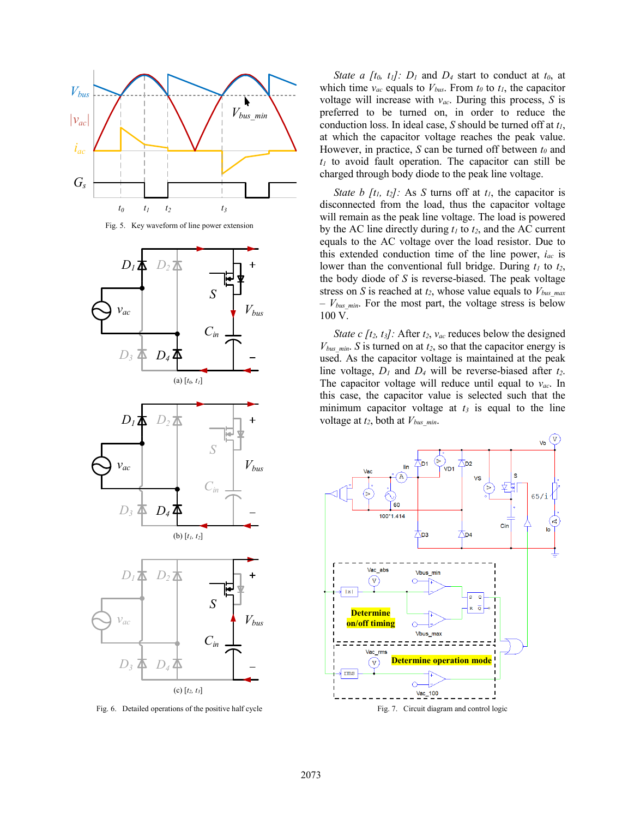

Fig. 5. Key waveform of line power extension



Fig. 6. Detailed operations of the positive half cycle

*State a [t<sub>0</sub>, t<sub>1</sub>]: D<sub>1</sub> and D<sub>4</sub> start to conduct at*  $t_0$ *, at* which time  $v_{ac}$  equals to  $V_{bus}$ . From  $t_0$  to  $t_1$ , the capacitor voltage will increase with *vac*. During this process, *S* is preferred to be turned on, in order to reduce the conduction loss. In ideal case, *S* should be turned off at *t1*, at which the capacitor voltage reaches the peak value. However, in practice, *S* can be turned off between  $t_0$  and *t1* to avoid fault operation. The capacitor can still be charged through body diode to the peak line voltage.

*State b [t<sub>1</sub>, t<sub>2</sub>]*: As *S* turns off at *t<sub>1</sub>*, the capacitor is disconnected from the load, thus the capacitor voltage will remain as the peak line voltage. The load is powered by the AC line directly during *t1* to *t2*, and the AC current equals to the AC voltage over the load resistor. Due to this extended conduction time of the line power, *iac* is lower than the conventional full bridge. During  $t_1$  to  $t_2$ , the body diode of *S* is reverse-biased. The peak voltage stress on *S* is reached at *t2*, whose value equals to *Vbus\_max*  $-V_{bus,min}$ . For the most part, the voltage stress is below 100 V.

*State c [t<sub>2</sub>, t<sub>3</sub>]:* After  $t_2$ ,  $v_{ac}$  reduces below the designed  $V_{bus,min}$ . *S* is turned on at  $t_2$ , so that the capacitor energy is used. As the capacitor voltage is maintained at the peak line voltage, *D1* and *D4* will be reverse-biased after *t2*. The capacitor voltage will reduce until equal to *vac*. In this case, the capacitor value is selected such that the minimum capacitor voltage at  $t_3$  is equal to the line voltage at  $t_2$ , both at  $V_{bus,min}$ .

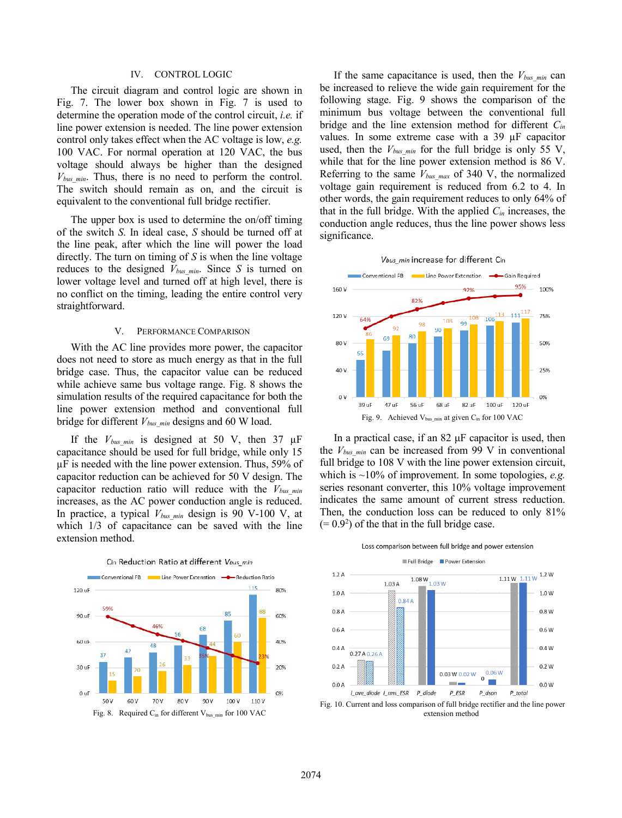# IV. CONTROL LOGIC

The circuit diagram and control logic are shown in Fig. 7. The lower box shown in Fig. 7 is used to determine the operation mode of the control circuit, *i.e.* if line power extension is needed. The line power extension control only takes effect when the AC voltage is low, *e.g.* 100 VAC. For normal operation at 120 VAC, the bus voltage should always be higher than the designed  $V_{bus,min}$ . Thus, there is no need to perform the control. The switch should remain as on, and the circuit is equivalent to the conventional full bridge rectifier.

The upper box is used to determine the on/off timing of the switch *S*. In ideal case, *S* should be turned off at the line peak, after which the line will power the load directly. The turn on timing of *S* is when the line voltage reduces to the designed  $V_{bus,min}$ . Since *S* is turned on lower voltage level and turned off at high level, there is no conflict on the timing, leading the entire control very straightforward.

#### V. PERFORMANCE COMPARISON

With the AC line provides more power, the capacitor does not need to store as much energy as that in the full bridge case. Thus, the capacitor value can be reduced while achieve same bus voltage range. Fig. 8 shows the simulation results of the required capacitance for both the line power extension method and conventional full bridge for different  $V_{bus,min}$  designs and 60 W load.

If the  $V_{bus,min}$  is designed at 50 V, then 37  $\mu$ F capacitance should be used for full bridge, while only 15 µF is needed with the line power extension. Thus, 59% of capacitor reduction can be achieved for 50 V design. The capacitor reduction ratio will reduce with the *Vbus\_min* increases, as the AC power conduction angle is reduced. In practice, a typical  $V_{bus,min}$  design is 90 V-100 V, at which  $1/3$  of capacitance can be saved with the line extension method.



If the same capacitance is used, then the  $V_{bus,min}$  can be increased to relieve the wide gain requirement for the following stage. Fig. 9 shows the comparison of the minimum bus voltage between the conventional full bridge and the line extension method for different *Cin* values. In some extreme case with a 39 µF capacitor used, then the  $V_{bus,min}$  for the full bridge is only 55 V, while that for the line power extension method is 86 V. Referring to the same *Vbus\_max* of 340 V, the normalized voltage gain requirement is reduced from 6.2 to 4. In other words, the gain requirement reduces to only 64% of that in the full bridge. With the applied *Cin* increases, the conduction angle reduces, thus the line power shows less significance.





In a practical case, if an  $82 \mu$ F capacitor is used, then the  $V_{bus,min}$  can be increased from 99 V in conventional full bridge to 108 V with the line power extension circuit, which is ~10% of improvement. In some topologies, *e.g.* series resonant converter, this 10% voltage improvement indicates the same amount of current stress reduction. Then, the conduction loss can be reduced to only 81%  $(= 0.9<sup>2</sup>)$  of the that in the full bridge case.





Loss comparison between full bridge and power extension Full Bridge Power Extension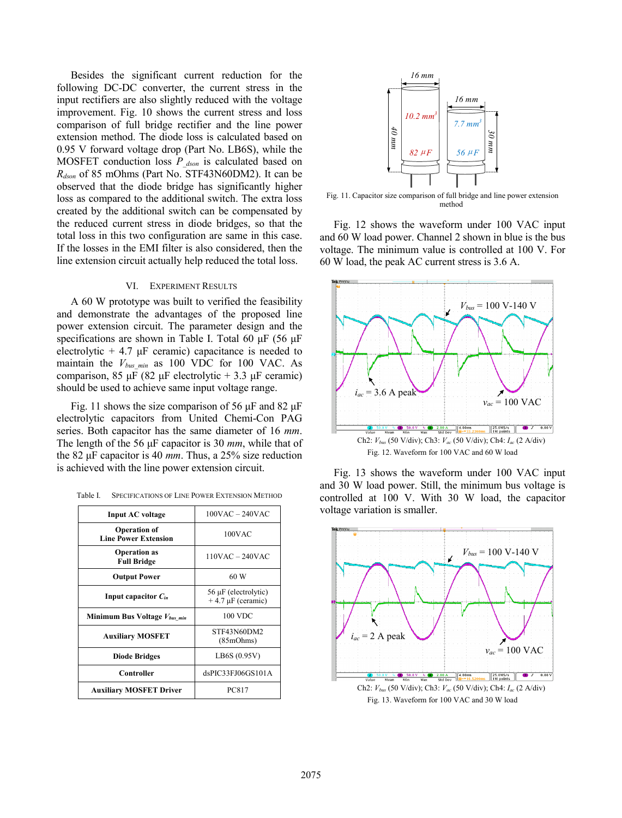Besides the significant current reduction for the following DC-DC converter, the current stress in the input rectifiers are also slightly reduced with the voltage improvement. Fig. 10 shows the current stress and loss comparison of full bridge rectifier and the line power extension method. The diode loss is calculated based on 0.95 V forward voltage drop (Part No. LB6S), while the MOSFET conduction loss *P\_dson* is calculated based on *Rdson* of 85 mOhms (Part No. STF43N60DM2). It can be observed that the diode bridge has significantly higher loss as compared to the additional switch. The extra loss created by the additional switch can be compensated by the reduced current stress in diode bridges, so that the total loss in this two configuration are same in this case. If the losses in the EMI filter is also considered, then the line extension circuit actually help reduced the total loss.

## VI. EXPERIMENT RESULTS

A 60 W prototype was built to verified the feasibility and demonstrate the advantages of the proposed line power extension circuit. The parameter design and the specifications are shown in Table I. Total 60 μF (56 μF electrolytic  $+4.7 \mu$ F ceramic) capacitance is needed to maintain the  $V_{bus,min}$  as 100 VDC for 100 VAC. As comparison, 85 μF (82 μF electrolytic + 3.3 μF ceramic) should be used to achieve same input voltage range.

Fig. 11 shows the size comparison of 56  $\mu$ F and 82  $\mu$ F electrolytic capacitors from United Chemi-Con PAG series. Both capacitor has the same diameter of 16 *mm*. The length of the 56 μF capacitor is 30 *mm*, while that of the 82 μF capacitor is 40 *mm*. Thus, a 25% size reduction is achieved with the line power extension circuit.

| Table I. | <b>SPECIFICATIONS OF LINE POWER EXTENSION METHOD</b> |
|----------|------------------------------------------------------|
|          |                                                      |

| <b>Input AC voltage</b>                            | $100VAC - 240VAC$                                   |
|----------------------------------------------------|-----------------------------------------------------|
| <b>Operation of</b><br><b>Line Power Extension</b> | $100$ VAC                                           |
| <b>Operation</b> as<br><b>Full Bridge</b>          | $110VAC - 240VAC$                                   |
| <b>Output Power</b>                                | 60 W                                                |
| Input capacitor $C_{in}$                           | $56 \mu$ F (electrolytic)<br>$+4.7 \mu F$ (ceramic) |
| Minimum Bus Voltage Vbus min                       | 100 VDC                                             |
| <b>Auxiliary MOSFET</b>                            | STF43N60DM2<br>(85mOhms)                            |
| <b>Diode Bridges</b>                               | LB6S (0.95V)                                        |
| Controller                                         | dsPIC33FJ06GS101A                                   |
| <b>Auxiliary MOSFET Driver</b>                     | <b>PC817</b>                                        |



Fig. 11. Capacitor size comparison of full bridge and line power extension method

Fig. 12 shows the waveform under 100 VAC input and 60 W load power. Channel 2 shown in blue is the bus voltage. The minimum value is controlled at 100 V. For 60 W load, the peak AC current stress is 3.6 A.



Fig. 13 shows the waveform under 100 VAC input and 30 W load power. Still, the minimum bus voltage is controlled at 100 V. With 30 W load, the capacitor voltage variation is smaller.